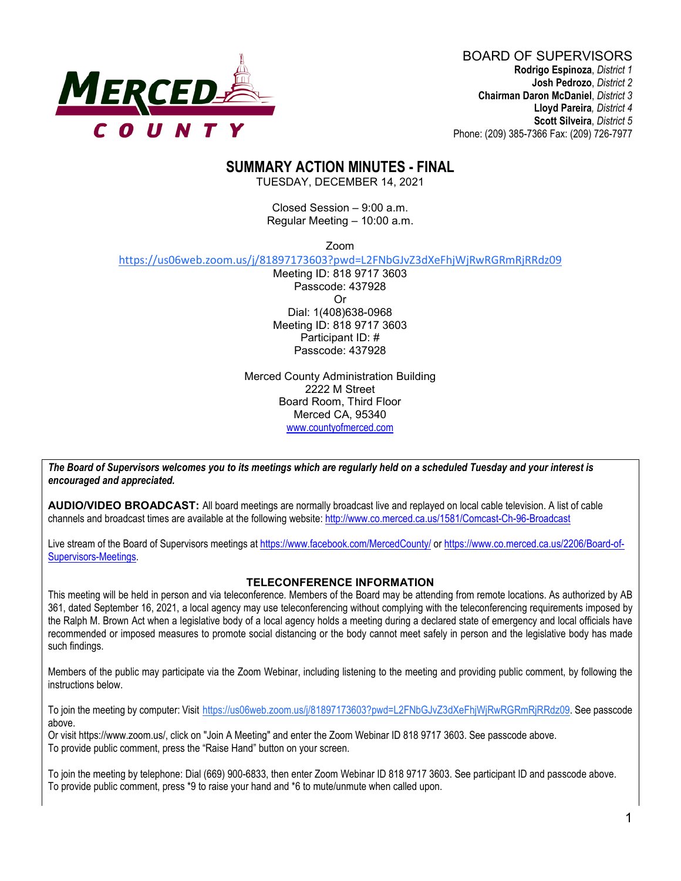

BOARD OF SUPERVISORS **Rodrigo Espinoza**, *District 1* **Josh Pedrozo**, *District 2*  **Chairman Daron McDaniel**, *District 3* **Lloyd Pareira***, District 4*  **Scott Silveira**, *District 5* Phone: (209) 385-7366 Fax: (209) 726-7977

# **SUMMARY ACTION MINUTES - FINAL**

TUESDAY, DECEMBER 14, 2021

Closed Session – 9:00 a.m. Regular Meeting – 10:00 a.m.

Zoom

https://us06web.zoom.us/j/81897173603?pwd=L2FNbGJvZ3dXeFhjWjRwRGRmRjRRdz09

Meeting ID: 818 9717 3603 Passcode: 437928 Or Dial: 1(408)638-0968 Meeting ID: 818 9717 3603 Participant ID: # Passcode: 437928

Merced County Administration Building 2222 M Street Board Room, Third Floor Merced CA, 95340 www.countyofmerced.com

*The Board of Supervisors welcomes you to its meetings which are regularly held on a scheduled Tuesday and your interest is encouraged and appreciated.*

**AUDIO/VIDEO BROADCAST:** All board meetings are normally broadcast live and replayed on local cable television. A list of cable channels and broadcast times are available at the following website[: http://www.co.merced.ca.us/1581/Comcast-Ch-96-Broadcast](http://www.co.merced.ca.us/1581/Comcast-Ch-96-Broadcast)

Live stream of the Board of Supervisors meetings at<https://www.facebook.com/MercedCounty/> o[r https://www.co.merced.ca.us/2206/Board-of-](https://www.co.merced.ca.us/2206/Board-of-Supervisors-Meetings)[Supervisors-Meetings.](https://www.co.merced.ca.us/2206/Board-of-Supervisors-Meetings)

#### **TELECONFERENCE INFORMATION**

This meeting will be held in person and via teleconference. Members of the Board may be attending from remote locations. As authorized by AB 361, dated September 16, 2021, a local agency may use teleconferencing without complying with the teleconferencing requirements imposed by the Ralph M. Brown Act when a legislative body of a local agency holds a meeting during a declared state of emergency and local officials have recommended or imposed measures to promote social distancing or the body cannot meet safely in person and the legislative body has made such findings.

Members of the public may participate via the Zoom Webinar, including listening to the meeting and providing public comment, by following the instructions below.

To join the meeting by computer: Visit https://us06web.zoom.us/j/81897173603?pwd=L2FNbGJvZ3dXeFhjWjRwRGRmRjRRdz09. See passcode above.

Or visit https://www.zoom.us/, click on "Join A Meeting" and enter the Zoom Webinar ID 818 9717 3603. See passcode above. To provide public comment, press the "Raise Hand" button on your screen.

To join the meeting by telephone: Dial (669) 900-6833, then enter Zoom Webinar ID 818 9717 3603. See participant ID and passcode above. To provide public comment, press \*9 to raise your hand and \*6 to mute/unmute when called upon.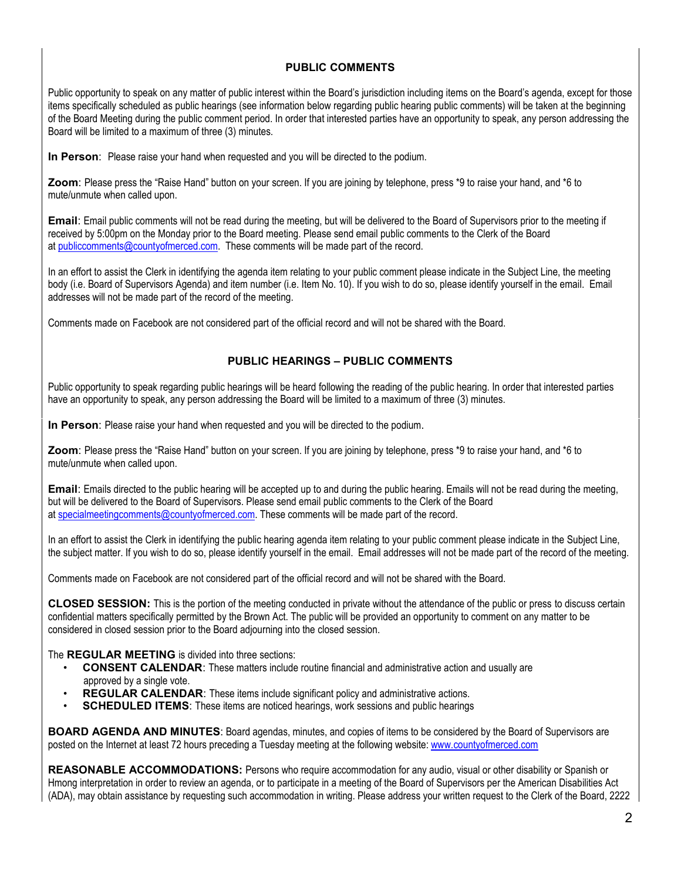#### **PUBLIC COMMENTS**

Public opportunity to speak on any matter of public interest within the Board's jurisdiction including items on the Board's agenda, except for those items specifically scheduled as public hearings (see information below regarding public hearing public comments) will be taken at the beginning of the Board Meeting during the public comment period. In order that interested parties have an opportunity to speak, any person addressing the Board will be limited to a maximum of three (3) minutes.

**In Person**: Please raise your hand when requested and you will be directed to the podium.

**Zoom**: Please press the "Raise Hand" button on your screen. If you are joining by telephone, press \*9 to raise your hand, and \*6 to mute/unmute when called upon.

**Email**: Email public comments will not be read during the meeting, but will be delivered to the Board of Supervisors prior to the meeting if received by 5:00pm on the Monday prior to the Board meeting. Please send email public comments to the Clerk of the Board at [publiccomments@countyofmerced.com.](mailto:publiccomments@countyofmerced.com) These comments will be made part of the record.

In an effort to assist the Clerk in identifying the agenda item relating to your public comment please indicate in the Subject Line, the meeting body (i.e. Board of Supervisors Agenda) and item number (i.e. Item No. 10). If you wish to do so, please identify yourself in the email. Email addresses will not be made part of the record of the meeting.

Comments made on Facebook are not considered part of the official record and will not be shared with the Board.

#### **PUBLIC HEARINGS – PUBLIC COMMENTS**

Public opportunity to speak regarding public hearings will be heard following the reading of the public hearing. In order that interested parties have an opportunity to speak, any person addressing the Board will be limited to a maximum of three (3) minutes.

**In Person**: Please raise your hand when requested and you will be directed to the podium.

**Zoom**: Please press the "Raise Hand" button on your screen. If you are joining by telephone, press \*9 to raise your hand, and \*6 to mute/unmute when called upon.

**Email**: Emails directed to the public hearing will be accepted up to and during the public hearing. Emails will not be read during the meeting, but will be delivered to the Board of Supervisors. Please send email public comments to the Clerk of the Board at [specialmeetingcomments@countyofmerced.com.](mailto:specialmeetingcomments@countyofmerced.com) These comments will be made part of the record.

In an effort to assist the Clerk in identifying the public hearing agenda item relating to your public comment please indicate in the Subject Line, the subject matter. If you wish to do so, please identify yourself in the email. Email addresses will not be made part of the record of the meeting.

Comments made on Facebook are not considered part of the official record and will not be shared with the Board.

**CLOSED SESSION:** This is the portion of the meeting conducted in private without the attendance of the public or press to discuss certain confidential matters specifically permitted by the Brown Act. The public will be provided an opportunity to comment on any matter to be considered in closed session prior to the Board adjourning into the closed session.

The **REGULAR MEETING** is divided into three sections:

- **CONSENT CALENDAR**: These matters include routine financial and administrative action and usually are approved by a single vote.
- **REGULAR CALENDAR:** These items include significant policy and administrative actions.
- **SCHEDULED ITEMS:** These items are noticed hearings, work sessions and public hearings

**BOARD AGENDA AND MINUTES:** Board agendas, minutes, and copies of items to be considered by the Board of Supervisors are posted on the Internet at least 72 hours preceding a Tuesday meeting at the following website: [www.countyofmerced.com](http://www.countyofmerced.com/) 

**REASONABLE ACCOMMODATIONS:** Persons who require accommodation for any audio, visual or other disability or Spanish or Hmong interpretation in order to review an agenda, or to participate in a meeting of the Board of Supervisors per the American Disabilities Act (ADA), may obtain assistance by requesting such accommodation in writing. Please address your written request to the Clerk of the Board, 2222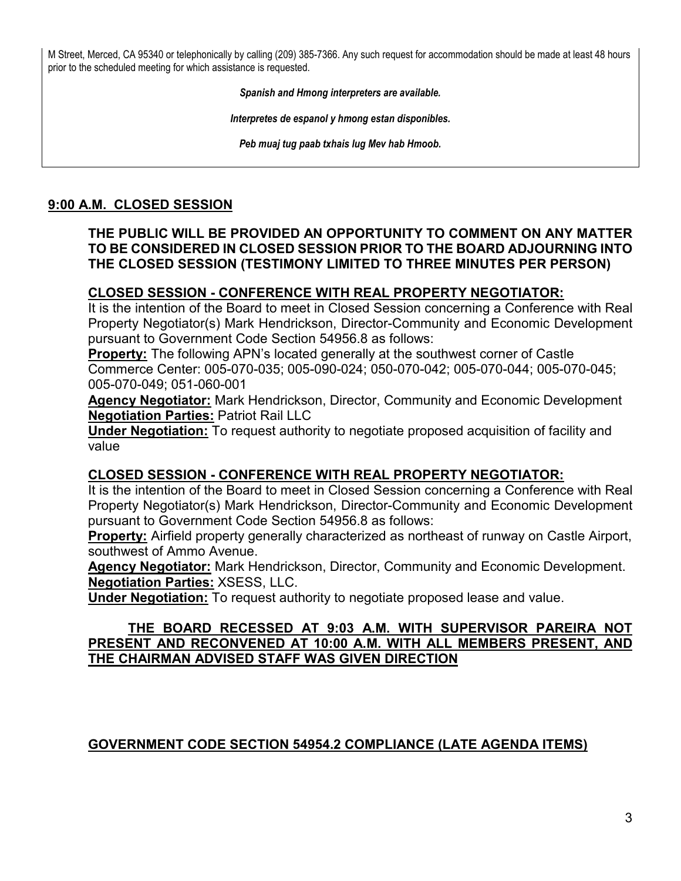M Street, Merced, CA 95340 or telephonically by calling (209) 385-7366. Any such request for accommodation should be made at least 48 hours prior to the scheduled meeting for which assistance is requested.

*Spanish and Hmong interpreters are available.*

*Interpretes de espanol y hmong estan disponibles.*

*Peb muaj tug paab txhais lug Mev hab Hmoob.* 

## **9:00 A.M. CLOSED SESSION**

## **THE PUBLIC WILL BE PROVIDED AN OPPORTUNITY TO COMMENT ON ANY MATTER TO BE CONSIDERED IN CLOSED SESSION PRIOR TO THE BOARD ADJOURNING INTO THE CLOSED SESSION (TESTIMONY LIMITED TO THREE MINUTES PER PERSON)**

## **CLOSED SESSION - CONFERENCE WITH REAL PROPERTY NEGOTIATOR:**

It is the intention of the Board to meet in Closed Session concerning a Conference with Real Property Negotiator(s) Mark Hendrickson, Director-Community and Economic Development pursuant to Government Code Section 54956.8 as follows:

**Property:** The following APN's located generally at the southwest corner of Castle Commerce Center: 005-070-035; 005-090-024; 050-070-042; 005-070-044; 005-070-045; 005-070-049; 051-060-001

**Agency Negotiator:** Mark Hendrickson, Director, Community and Economic Development **Negotiation Parties:** Patriot Rail LLC

**Under Negotiation:** To request authority to negotiate proposed acquisition of facility and value

## **CLOSED SESSION - CONFERENCE WITH REAL PROPERTY NEGOTIATOR:**

It is the intention of the Board to meet in Closed Session concerning a Conference with Real Property Negotiator(s) Mark Hendrickson, Director-Community and Economic Development pursuant to Government Code Section 54956.8 as follows:

**Property:** Airfield property generally characterized as northeast of runway on Castle Airport, southwest of Ammo Avenue.

**Agency Negotiator:** Mark Hendrickson, Director, Community and Economic Development. **Negotiation Parties:** XSESS, LLC.

**Under Negotiation:** To request authority to negotiate proposed lease and value.

#### **THE BOARD RECESSED AT 9:03 A.M. WITH SUPERVISOR PAREIRA NOT PRESENT AND RECONVENED AT 10:00 A.M. WITH ALL MEMBERS PRESENT, AND THE CHAIRMAN ADVISED STAFF WAS GIVEN DIRECTION**

# **GOVERNMENT CODE SECTION 54954.2 COMPLIANCE (LATE AGENDA ITEMS)**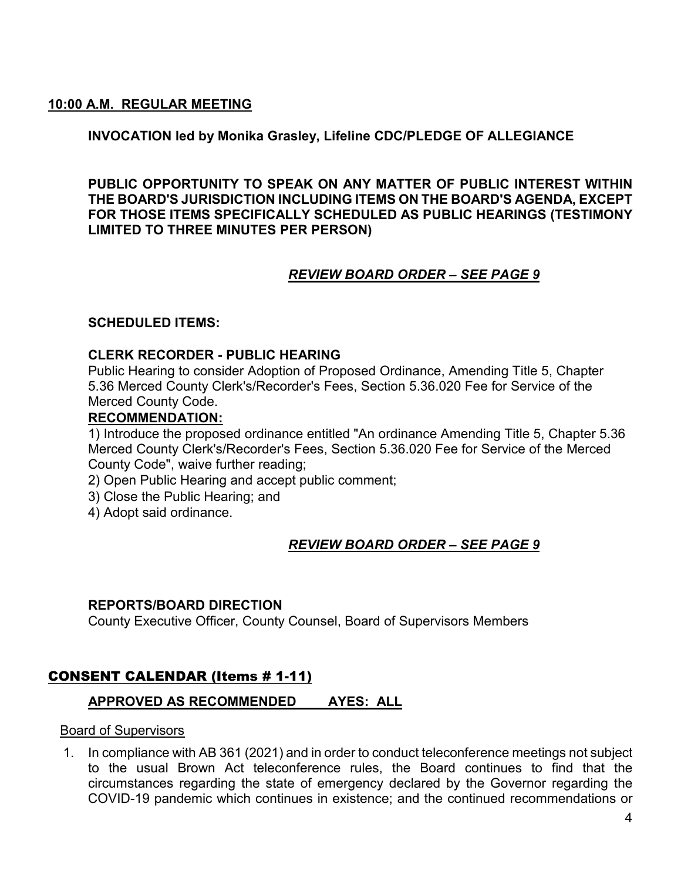## **10:00 A.M. REGULAR MEETING**

## **INVOCATION led by Monika Grasley, Lifeline CDC/PLEDGE OF ALLEGIANCE**

**PUBLIC OPPORTUNITY TO SPEAK ON ANY MATTER OF PUBLIC INTEREST WITHIN THE BOARD'S JURISDICTION INCLUDING ITEMS ON THE BOARD'S AGENDA, EXCEPT FOR THOSE ITEMS SPECIFICALLY SCHEDULED AS PUBLIC HEARINGS (TESTIMONY LIMITED TO THREE MINUTES PER PERSON)**

# *REVIEW BOARD ORDER – SEE PAGE 9*

## **SCHEDULED ITEMS:**

#### **CLERK RECORDER - PUBLIC HEARING**

Public Hearing to consider Adoption of Proposed Ordinance, Amending Title 5, Chapter 5.36 Merced County Clerk's/Recorder's Fees, Section 5.36.020 Fee for Service of the Merced County Code.

#### **RECOMMENDATION:**

1) Introduce the proposed ordinance entitled "An ordinance Amending Title 5, Chapter 5.36 Merced County Clerk's/Recorder's Fees, Section 5.36.020 Fee for Service of the Merced County Code", waive further reading;

- 2) Open Public Hearing and accept public comment;
- 3) Close the Public Hearing; and
- 4) Adopt said ordinance.

# *REVIEW BOARD ORDER – SEE PAGE 9*

#### **REPORTS/BOARD DIRECTION**

County Executive Officer, County Counsel, Board of Supervisors Members

# CONSENT CALENDAR (Items # 1-11)

## **APPROVED AS RECOMMENDED AYES: ALL**

#### Board of Supervisors

1. In compliance with AB 361 (2021) and in order to conduct teleconference meetings not subject to the usual Brown Act teleconference rules, the Board continues to find that the circumstances regarding the state of emergency declared by the Governor regarding the COVID-19 pandemic which continues in existence; and the continued recommendations or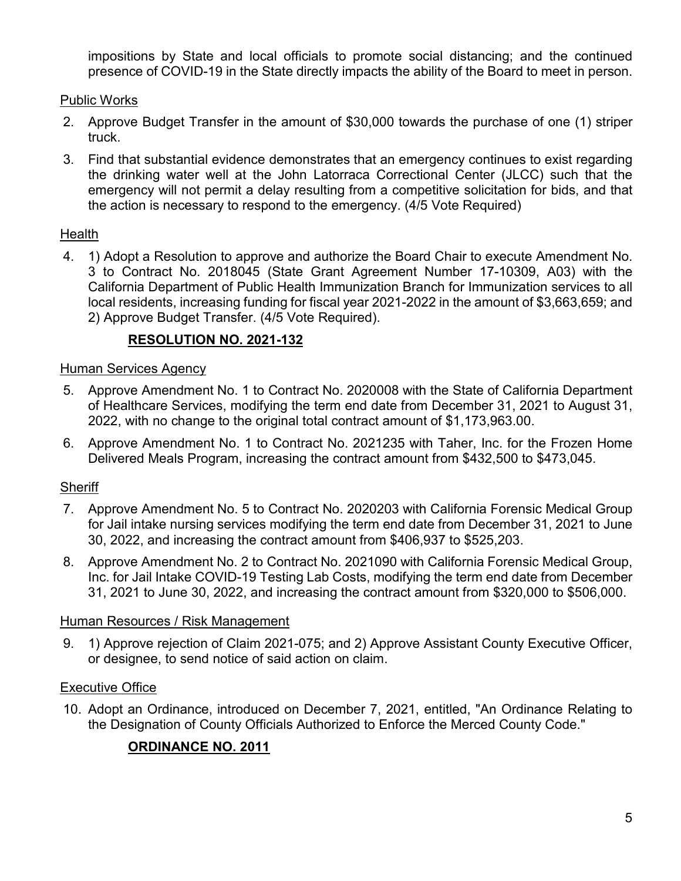impositions by State and local officials to promote social distancing; and the continued presence of COVID-19 in the State directly impacts the ability of the Board to meet in person.

# Public Works

- 2. Approve Budget Transfer in the amount of \$30,000 towards the purchase of one (1) striper truck.
- 3. Find that substantial evidence demonstrates that an emergency continues to exist regarding the drinking water well at the John Latorraca Correctional Center (JLCC) such that the emergency will not permit a delay resulting from a competitive solicitation for bids, and that the action is necessary to respond to the emergency. (4/5 Vote Required)

# Health

4. 1) Adopt a Resolution to approve and authorize the Board Chair to execute Amendment No. 3 to Contract No. 2018045 (State Grant Agreement Number 17-10309, A03) with the California Department of Public Health Immunization Branch for Immunization services to all local residents, increasing funding for fiscal year 2021-2022 in the amount of \$3,663,659; and 2) Approve Budget Transfer. (4/5 Vote Required).

# **RESOLUTION NO. 2021-132**

# Human Services Agency

- 5. Approve Amendment No. 1 to Contract No. 2020008 with the State of California Department of Healthcare Services, modifying the term end date from December 31, 2021 to August 31, 2022, with no change to the original total contract amount of \$1,173,963.00.
- 6. Approve Amendment No. 1 to Contract No. 2021235 with Taher, Inc. for the Frozen Home Delivered Meals Program, increasing the contract amount from \$432,500 to \$473,045.

# **Sheriff**

- 7. Approve Amendment No. 5 to Contract No. 2020203 with California Forensic Medical Group for Jail intake nursing services modifying the term end date from December 31, 2021 to June 30, 2022, and increasing the contract amount from \$406,937 to \$525,203.
- 8. Approve Amendment No. 2 to Contract No. 2021090 with California Forensic Medical Group, Inc. for Jail Intake COVID-19 Testing Lab Costs, modifying the term end date from December 31, 2021 to June 30, 2022, and increasing the contract amount from \$320,000 to \$506,000.

# Human Resources / Risk Management

9. 1) Approve rejection of Claim 2021-075; and 2) Approve Assistant County Executive Officer, or designee, to send notice of said action on claim.

# Executive Office

10. Adopt an Ordinance, introduced on December 7, 2021, entitled, "An Ordinance Relating to the Designation of County Officials Authorized to Enforce the Merced County Code."

# **ORDINANCE NO. 2011**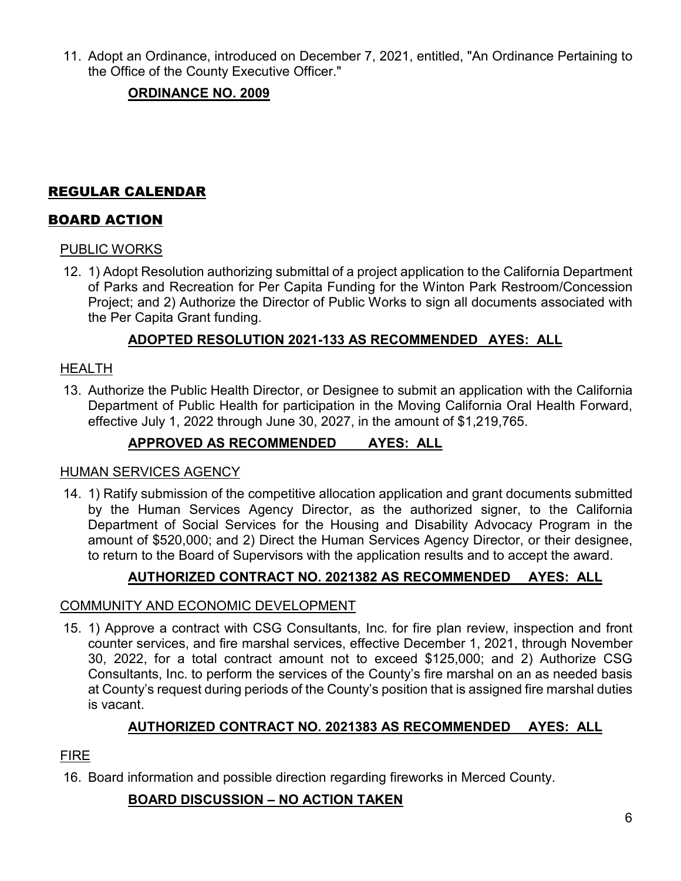11. Adopt an Ordinance, introduced on December 7, 2021, entitled, "An Ordinance Pertaining to the Office of the County Executive Officer."

# **ORDINANCE NO. 2009**

# REGULAR CALENDAR

# BOARD ACTION

# PUBLIC WORKS

12. 1) Adopt Resolution authorizing submittal of a project application to the California Department of Parks and Recreation for Per Capita Funding for the Winton Park Restroom/Concession Project; and 2) Authorize the Director of Public Works to sign all documents associated with the Per Capita Grant funding.

# **ADOPTED RESOLUTION 2021-133 AS RECOMMENDED AYES: ALL**

## HEALTH

13. Authorize the Public Health Director, or Designee to submit an application with the California Department of Public Health for participation in the Moving California Oral Health Forward, effective July 1, 2022 through June 30, 2027, in the amount of \$1,219,765.

# **APPROVED AS RECOMMENDED AYES: ALL**

## HUMAN SERVICES AGENCY

14. 1) Ratify submission of the competitive allocation application and grant documents submitted by the Human Services Agency Director, as the authorized signer, to the California Department of Social Services for the Housing and Disability Advocacy Program in the amount of \$520,000; and 2) Direct the Human Services Agency Director, or their designee, to return to the Board of Supervisors with the application results and to accept the award.

# **AUTHORIZED CONTRACT NO. 2021382 AS RECOMMENDED AYES: ALL**

## COMMUNITY AND ECONOMIC DEVELOPMENT

15. 1) Approve a contract with CSG Consultants, Inc. for fire plan review, inspection and front counter services, and fire marshal services, effective December 1, 2021, through November 30, 2022, for a total contract amount not to exceed \$125,000; and 2) Authorize CSG Consultants, Inc. to perform the services of the County's fire marshal on an as needed basis at County's request during periods of the County's position that is assigned fire marshal duties is vacant.

# **AUTHORIZED CONTRACT NO. 2021383 AS RECOMMENDED AYES: ALL**

# FIRE

16. Board information and possible direction regarding fireworks in Merced County.

# **BOARD DISCUSSION – NO ACTION TAKEN**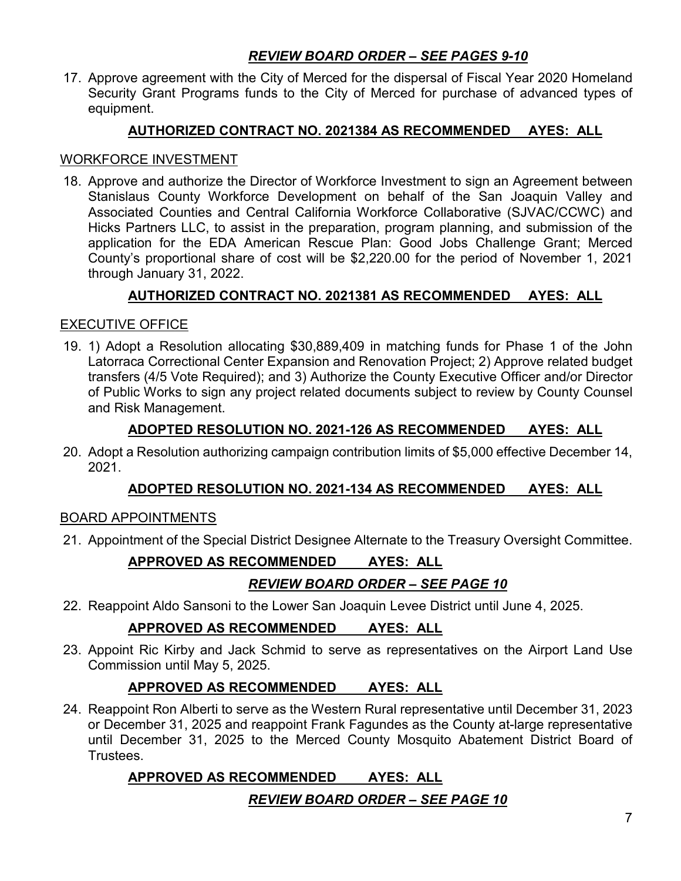# *REVIEW BOARD ORDER – SEE PAGES 9-10*

17. Approve agreement with the City of Merced for the dispersal of Fiscal Year 2020 Homeland Security Grant Programs funds to the City of Merced for purchase of advanced types of equipment.

# **AUTHORIZED CONTRACT NO. 2021384 AS RECOMMENDED AYES: ALL**

#### WORKFORCE INVESTMENT

18. Approve and authorize the Director of Workforce Investment to sign an Agreement between Stanislaus County Workforce Development on behalf of the San Joaquin Valley and Associated Counties and Central California Workforce Collaborative (SJVAC/CCWC) and Hicks Partners LLC, to assist in the preparation, program planning, and submission of the application for the EDA American Rescue Plan: Good Jobs Challenge Grant; Merced County's proportional share of cost will be \$2,220.00 for the period of November 1, 2021 through January 31, 2022.

# **AUTHORIZED CONTRACT NO. 2021381 AS RECOMMENDED AYES: ALL**

## EXECUTIVE OFFICE

19. 1) Adopt a Resolution allocating \$30,889,409 in matching funds for Phase 1 of the John Latorraca Correctional Center Expansion and Renovation Project; 2) Approve related budget transfers (4/5 Vote Required); and 3) Authorize the County Executive Officer and/or Director of Public Works to sign any project related documents subject to review by County Counsel and Risk Management.

## **ADOPTED RESOLUTION NO. 2021-126 AS RECOMMENDED AYES: ALL**

20. Adopt a Resolution authorizing campaign contribution limits of \$5,000 effective December 14, 2021.

## **ADOPTED RESOLUTION NO. 2021-134 AS RECOMMENDED AYES: ALL**

## BOARD APPOINTMENTS

21. Appointment of the Special District Designee Alternate to the Treasury Oversight Committee.

# **APPROVED AS RECOMMENDED AYES: ALL**

# *REVIEW BOARD ORDER – SEE PAGE 10*

22. Reappoint Aldo Sansoni to the Lower San Joaquin Levee District until June 4, 2025.

# **APPROVED AS RECOMMENDED AYES: ALL**

23. Appoint Ric Kirby and Jack Schmid to serve as representatives on the Airport Land Use Commission until May 5, 2025.

# **APPROVED AS RECOMMENDED AYES: ALL**

24. Reappoint Ron Alberti to serve as the Western Rural representative until December 31, 2023 or December 31, 2025 and reappoint Frank Fagundes as the County at-large representative until December 31, 2025 to the Merced County Mosquito Abatement District Board of Trustees.

# **APPROVED AS RECOMMENDED AYES: ALL**

## *REVIEW BOARD ORDER – SEE PAGE 10*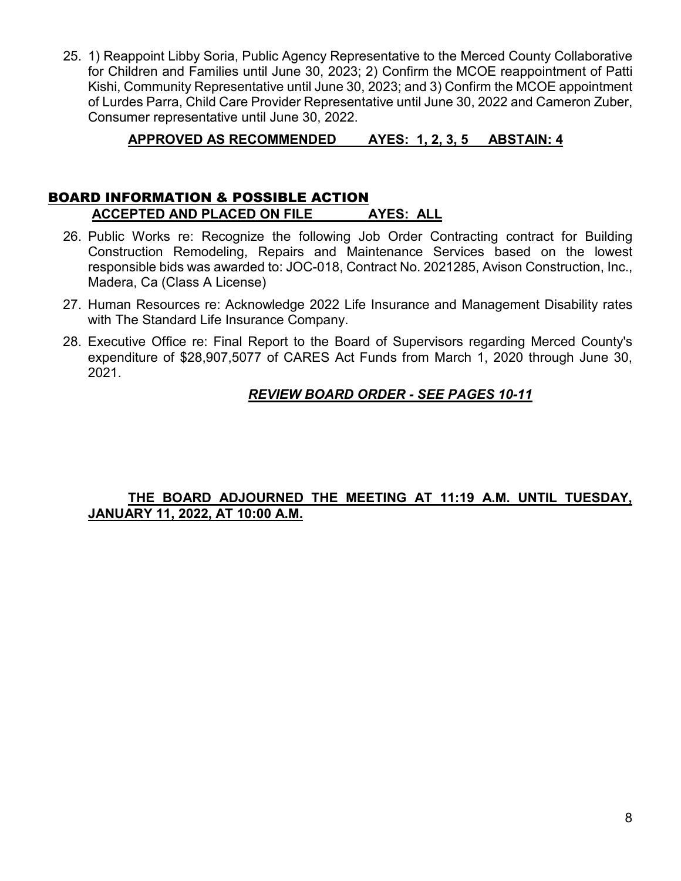25. 1) Reappoint Libby Soria, Public Agency Representative to the Merced County Collaborative for Children and Families until June 30, 2023; 2) Confirm the MCOE reappointment of Patti Kishi, Community Representative until June 30, 2023; and 3) Confirm the MCOE appointment of Lurdes Parra, Child Care Provider Representative until June 30, 2022 and Cameron Zuber, Consumer representative until June 30, 2022.

# **APPROVED AS RECOMMENDED AYES: 1, 2, 3, 5 ABSTAIN: 4**

# BOARD INFORMATION & POSSIBLE ACTION

# **ACCEPTED AND PLACED ON FILE AYES: ALL**

- 26. Public Works re: Recognize the following Job Order Contracting contract for Building Construction Remodeling, Repairs and Maintenance Services based on the lowest responsible bids was awarded to: JOC-018, Contract No. 2021285, Avison Construction, Inc., Madera, Ca (Class A License)
- 27. Human Resources re: Acknowledge 2022 Life Insurance and Management Disability rates with The Standard Life Insurance Company.
- 28. Executive Office re: Final Report to the Board of Supervisors regarding Merced County's expenditure of \$28,907,5077 of CARES Act Funds from March 1, 2020 through June 30, 2021.

# *REVIEW BOARD ORDER - SEE PAGES 10-11*

## **THE BOARD ADJOURNED THE MEETING AT 11:19 A.M. UNTIL TUESDAY, JANUARY 11, 2022, AT 10:00 A.M.**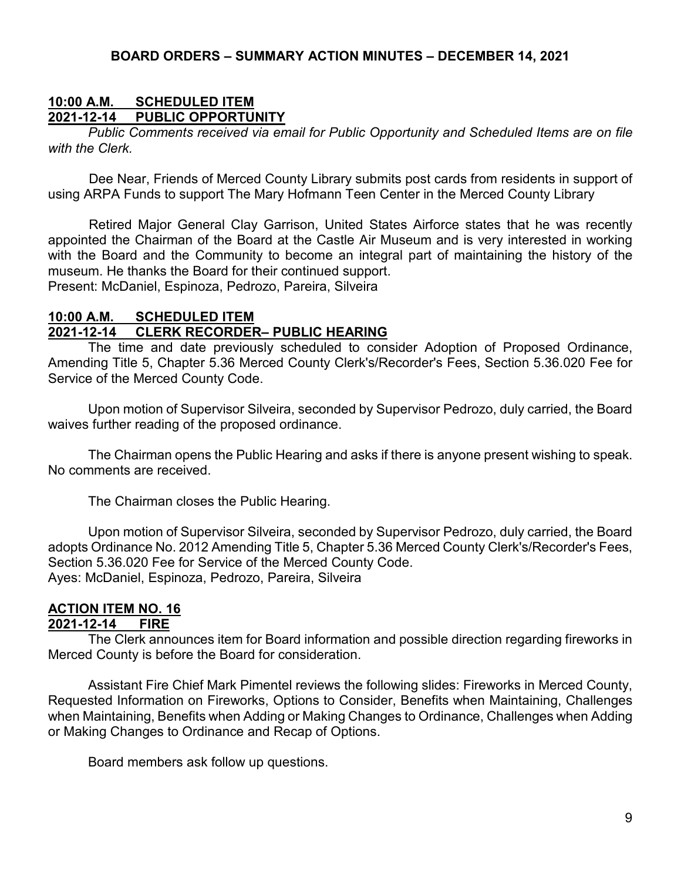## **10:00 A.M. SCHEDULED ITEM 2021-12-14 PUBLIC OPPORTUNITY**

*Public Comments received via email for Public Opportunity and Scheduled Items are on file with the Clerk.*

Dee Near, Friends of Merced County Library submits post cards from residents in support of using ARPA Funds to support The Mary Hofmann Teen Center in the Merced County Library

Retired Major General Clay Garrison, United States Airforce states that he was recently appointed the Chairman of the Board at the Castle Air Museum and is very interested in working with the Board and the Community to become an integral part of maintaining the history of the museum. He thanks the Board for their continued support. Present: McDaniel, Espinoza, Pedrozo, Pareira, Silveira

## **10:00 A.M. SCHEDULED ITEM 2021-12-14 CLERK RECORDER– PUBLIC HEARING**

The time and date previously scheduled to consider Adoption of Proposed Ordinance, Amending Title 5, Chapter 5.36 Merced County Clerk's/Recorder's Fees, Section 5.36.020 Fee for Service of the Merced County Code.

Upon motion of Supervisor Silveira, seconded by Supervisor Pedrozo, duly carried, the Board waives further reading of the proposed ordinance.

The Chairman opens the Public Hearing and asks if there is anyone present wishing to speak. No comments are received.

The Chairman closes the Public Hearing.

Upon motion of Supervisor Silveira, seconded by Supervisor Pedrozo, duly carried, the Board adopts Ordinance No. 2012 Amending Title 5, Chapter 5.36 Merced County Clerk's/Recorder's Fees, Section 5.36.020 Fee for Service of the Merced County Code. Ayes: McDaniel, Espinoza, Pedrozo, Pareira, Silveira

# **ACTION ITEM NO. 16**

# **2021-12-14**

The Clerk announces item for Board information and possible direction regarding fireworks in Merced County is before the Board for consideration.

Assistant Fire Chief Mark Pimentel reviews the following slides: Fireworks in Merced County, Requested Information on Fireworks, Options to Consider, Benefits when Maintaining, Challenges when Maintaining, Benefits when Adding or Making Changes to Ordinance, Challenges when Adding or Making Changes to Ordinance and Recap of Options.

Board members ask follow up questions.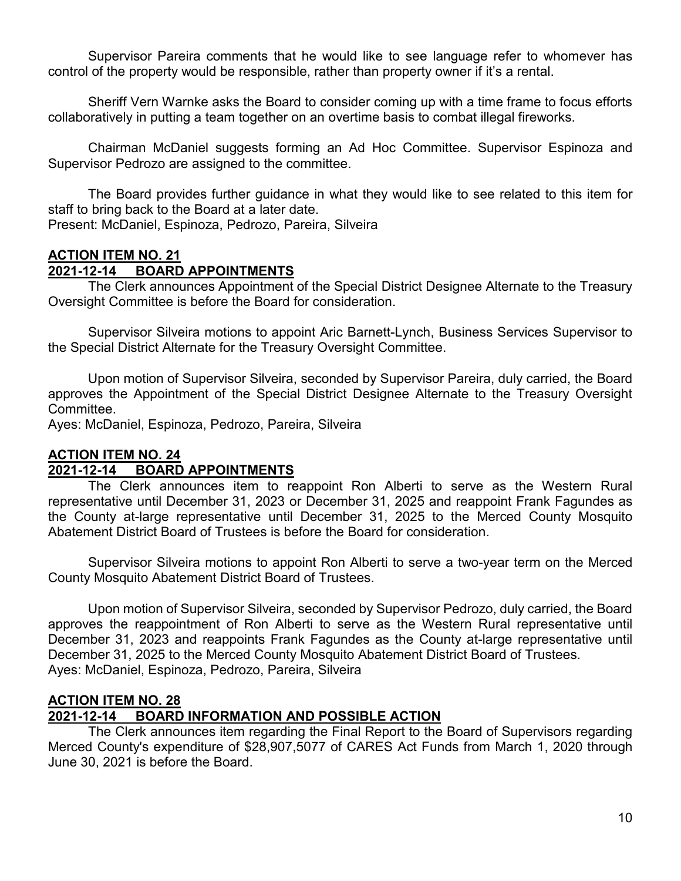Supervisor Pareira comments that he would like to see language refer to whomever has control of the property would be responsible, rather than property owner if it's a rental.

Sheriff Vern Warnke asks the Board to consider coming up with a time frame to focus efforts collaboratively in putting a team together on an overtime basis to combat illegal fireworks.

Chairman McDaniel suggests forming an Ad Hoc Committee. Supervisor Espinoza and Supervisor Pedrozo are assigned to the committee.

The Board provides further guidance in what they would like to see related to this item for staff to bring back to the Board at a later date.

Present: McDaniel, Espinoza, Pedrozo, Pareira, Silveira

#### **ACTION ITEM NO. 21 2021-12-14 BOARD APPOINTMENTS**

The Clerk announces Appointment of the Special District Designee Alternate to the Treasury Oversight Committee is before the Board for consideration.

Supervisor Silveira motions to appoint Aric Barnett-Lynch, Business Services Supervisor to the Special District Alternate for the Treasury Oversight Committee.

Upon motion of Supervisor Silveira, seconded by Supervisor Pareira, duly carried, the Board approves the Appointment of the Special District Designee Alternate to the Treasury Oversight Committee.

Ayes: McDaniel, Espinoza, Pedrozo, Pareira, Silveira

#### **ACTION ITEM NO. 24 2021-12-14 BOARD APPOINTMENTS**

The Clerk announces item to reappoint Ron Alberti to serve as the Western Rural representative until December 31, 2023 or December 31, 2025 and reappoint Frank Fagundes as the County at-large representative until December 31, 2025 to the Merced County Mosquito Abatement District Board of Trustees is before the Board for consideration.

Supervisor Silveira motions to appoint Ron Alberti to serve a two-year term on the Merced County Mosquito Abatement District Board of Trustees.

Upon motion of Supervisor Silveira, seconded by Supervisor Pedrozo, duly carried, the Board approves the reappointment of Ron Alberti to serve as the Western Rural representative until December 31, 2023 and reappoints Frank Fagundes as the County at-large representative until December 31, 2025 to the Merced County Mosquito Abatement District Board of Trustees. Ayes: McDaniel, Espinoza, Pedrozo, Pareira, Silveira

# **ACTION ITEM NO. 28**

# **2021-12-14 BOARD INFORMATION AND POSSIBLE ACTION**

The Clerk announces item regarding the Final Report to the Board of Supervisors regarding Merced County's expenditure of \$28,907,5077 of CARES Act Funds from March 1, 2020 through June 30, 2021 is before the Board.